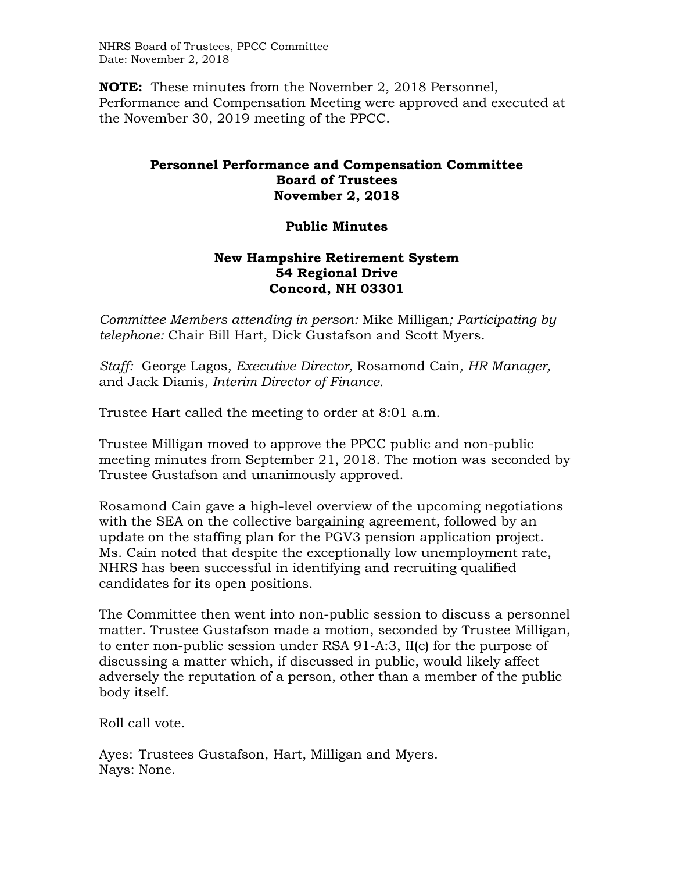NHRS Board of Trustees, PPCC Committee Date: November 2, 2018

**NOTE:** These minutes from the November 2, 2018 Personnel, Performance and Compensation Meeting were approved and executed at the November 30, 2019 meeting of the PPCC.

## **Personnel Performance and Compensation Committee Board of Trustees November 2, 2018**

## **Public Minutes**

## **New Hampshire Retirement System 54 Regional Drive Concord, NH 03301**

*Committee Members attending in person:* Mike Milligan*; Participating by telephone:* Chair Bill Hart, Dick Gustafson and Scott Myers.

*Staff:* George Lagos, *Executive Director,* Rosamond Cain*, HR Manager,*  and Jack Dianis*, Interim Director of Finance.* 

Trustee Hart called the meeting to order at 8:01 a.m.

Trustee Milligan moved to approve the PPCC public and non-public meeting minutes from September 21, 2018. The motion was seconded by Trustee Gustafson and unanimously approved.

Rosamond Cain gave a high-level overview of the upcoming negotiations with the SEA on the collective bargaining agreement, followed by an update on the staffing plan for the PGV3 pension application project. Ms. Cain noted that despite the exceptionally low unemployment rate, NHRS has been successful in identifying and recruiting qualified candidates for its open positions.

The Committee then went into non-public session to discuss a personnel matter. Trustee Gustafson made a motion, seconded by Trustee Milligan, to enter non-public session under RSA 91-A:3, II(c) for the purpose of discussing a matter which, if discussed in public, would likely affect adversely the reputation of a person, other than a member of the public body itself.

Roll call vote.

Ayes: Trustees Gustafson, Hart, Milligan and Myers. Nays: None.